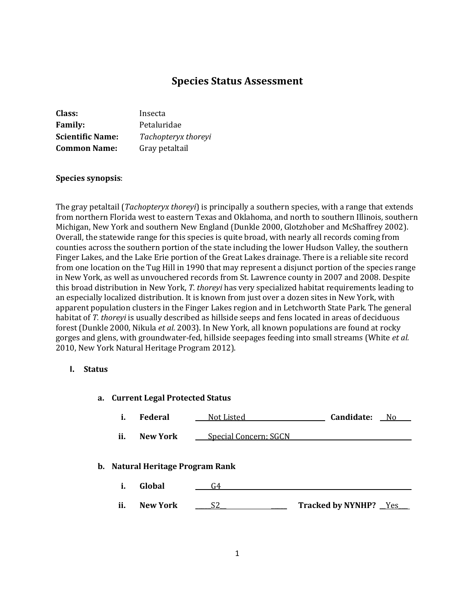# **Species Status Assessment**

| Class:                  | Insecta             |
|-------------------------|---------------------|
| <b>Family:</b>          | Petaluridae         |
| <b>Scientific Name:</b> | Tachopteryx thoreyi |
| <b>Common Name:</b>     | Gray petaltail      |

### **Species synopsis**:

The gray petaltail (*Tachopteryx thoreyi*) is principally a southern species, with a range that extends from northern Florida west to eastern Texas and Oklahoma, and north to southern Illinois, southern Michigan, New York and southern New England (Dunkle 2000, Glotzhober and McShaffrey 2002). Overall, the statewide range for this species is quite broad, with nearly all records coming from counties across the southern portion of the state including the lower Hudson Valley, the southern Finger Lakes, and the Lake Erie portion of the Great Lakes drainage. There is a reliable site record from one location on the Tug Hill in 1990 that may represent a disjunct portion of the species range in New York, as well as unvouchered records from St. Lawrence county in 2007 and 2008. Despite this broad distribution in New York, *T. thoreyi* has very specialized habitat requirements leading to an especially localized distribution. It is known from just over a dozen sites in New York, with apparent population clusters in the Finger Lakes region and in Letchworth State Park. The general habitat of *T. thoreyi* is usually described as hillside seeps and fens located in areas of deciduous forest (Dunkle 2000, Nikula *et al.* 2003). In New York, all known populations are found at rocky gorges and glens, with groundwater-fed, hillside seepages feeding into small streams (White *et al.* 2010, New York Natural Heritage Program 2012).

### **I. Status**

## **a. Current Legal Protected Status**

| Federal | Not Listed | Candidate: | Ν٥ |
|---------|------------|------------|----|
|         |            |            |    |

**ii. New York \_\_\_\_** Special Concern; SGCN

#### **b. Natural Heritage Program Rank**

- **i. Global** \_\_\_\_\_G4\_\_\_\_ \_\_
- **ii. New York**  $S2$  **Tracked by NYNHP?** Yes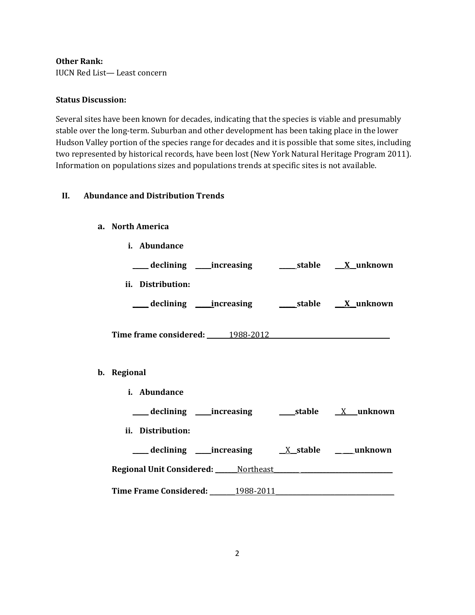**Other Rank:**

IUCN Red List— Least concern

### **Status Discussion:**

Several sites have been known for decades, indicating that the species is viable and presumably stable over the long-term. Suburban and other development has been taking place in the lower Hudson Valley portion of the species range for decades and it is possible that some sites, including two represented by historical records, have been lost (New York Natural Heritage Program 2011). Information on populations sizes and populations trends at specific sites is not available.

## **II. Abundance and Distribution Trends**

### **a. North America**

**b**.

| i. Abundance                               |  |
|--------------------------------------------|--|
|                                            |  |
| ii. Distribution:                          |  |
|                                            |  |
| Time frame considered: 1988-2012           |  |
| Regional                                   |  |
| i. Abundance                               |  |
|                                            |  |
| ii. Distribution:                          |  |
|                                            |  |
| <b>Regional Unit Considered:</b> Mortheast |  |
| Time Frame Considered: 1988-2011           |  |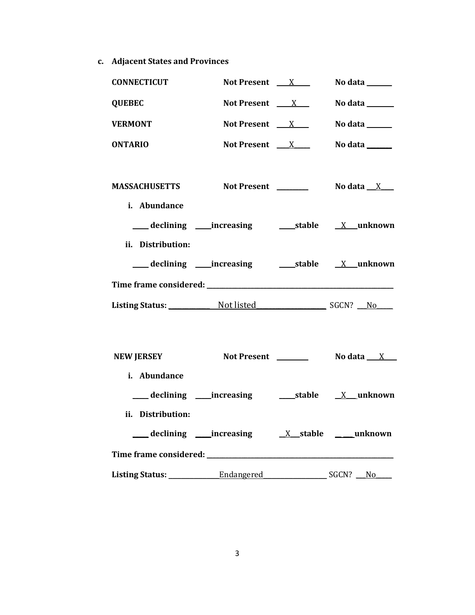**c. Adjacent States and Provinces**

| <b>CONNECTICUT</b>                                   | Not Present $X$                          | No data ______                          |
|------------------------------------------------------|------------------------------------------|-----------------------------------------|
| <b>QUEBEC</b>                                        | Not Present $X$                          | No data ______                          |
| <b>VERMONT</b>                                       | Not Present $X$                          | No data ______                          |
| <b>ONTARIO</b>                                       | Not Present $X$                          | No data ______                          |
| MASSACHUSETTS Not Present Not at a X<br>i. Abundance |                                          |                                         |
|                                                      |                                          |                                         |
| ii. Distribution:                                    |                                          |                                         |
|                                                      |                                          |                                         |
| Listing Status: Not listed SGCN? No                  |                                          |                                         |
| <b>NEW JERSEY</b>                                    |                                          | Not Present __________ No data ___ X___ |
| i. Abundance                                         |                                          |                                         |
| ii. Distribution:                                    | declining increasing X stable __ unknown |                                         |
|                                                      |                                          |                                         |
|                                                      |                                          |                                         |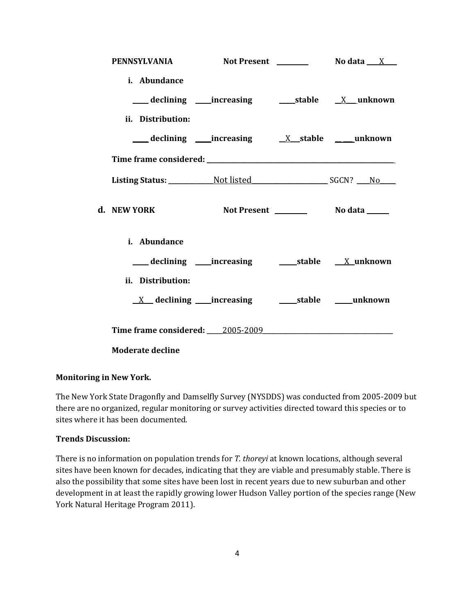|                         | PENNSYLVANIA Not Present _________ No data X  |  |
|-------------------------|-----------------------------------------------|--|
| i. Abundance            |                                               |  |
|                         |                                               |  |
| ii. Distribution:       |                                               |  |
|                         | declining increasing X stable unknown         |  |
|                         |                                               |  |
|                         |                                               |  |
| d. NEW YORK             |                                               |  |
| i. Abundance            |                                               |  |
|                         |                                               |  |
| ii. Distribution:       |                                               |  |
|                         | <u>X</u> declining increasing stable mush own |  |
|                         | Time frame considered: 2005-2009              |  |
| <b>Moderate decline</b> |                                               |  |

## **Monitoring in New York.**

The New York State Dragonfly and Damselfly Survey (NYSDDS) was conducted from 2005-2009 but there are no organized, regular monitoring or survey activities directed toward this species or to sites where it has been documented.

## **Trends Discussion:**

There is no information on population trends for *T. thoreyi* at known locations, although several sites have been known for decades, indicating that they are viable and presumably stable. There is also the possibility that some sites have been lost in recent years due to new suburban and other development in at least the rapidly growing lower Hudson Valley portion of the species range (New York Natural Heritage Program 2011).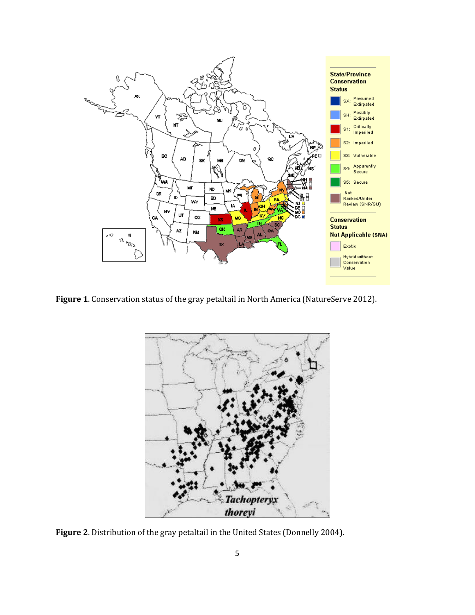

**Figure 1**. Conservation status of the gray petaltail in North America (NatureServe 2012).



**Figure 2**. Distribution of the gray petaltail in the United States (Donnelly 2004).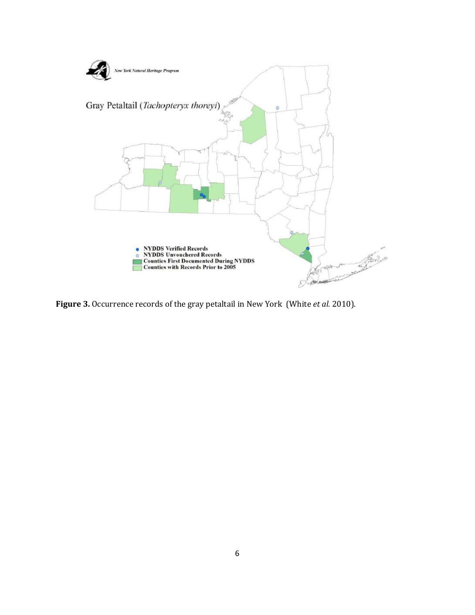

**Figure 3.** Occurrence records of the gray petaltail in New York (White *et al.* 2010).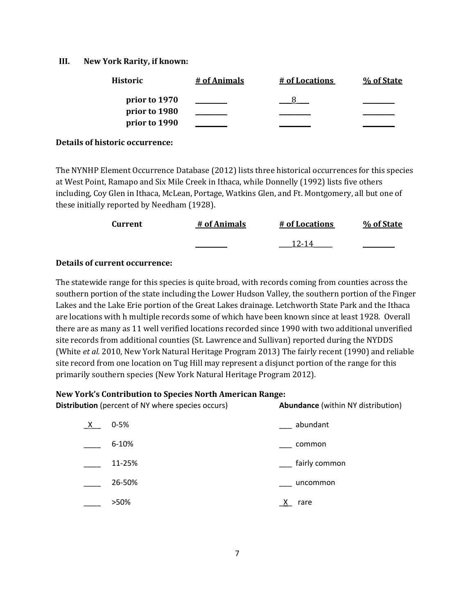## **III. New York Rarity, if known:**

| <b>Historic</b> | # of Animals | # of Locations | % of State |
|-----------------|--------------|----------------|------------|
| prior to 1970   |              |                |            |
| prior to 1980   |              |                |            |
| prior to 1990   |              |                |            |

#### **Details of historic occurrence:**

The NYNHP Element Occurrence Database (2012) lists three historical occurrences for this species at West Point, Ramapo and Six Mile Creek in Ithaca, while Donnelly (1992) lists five others including, Coy Glen in Ithaca, McLean, Portage, Watkins Glen, and Ft. Montgomery, all but one of these initially reported by Needham (1928).

| Current | # of Animals | # of Locations | % of State |
|---------|--------------|----------------|------------|
|         |              | 12-14          |            |

### **Details of current occurrence:**

The statewide range for this species is quite broad, with records coming from counties across the southern portion of the state including the Lower Hudson Valley, the southern portion of the Finger Lakes and the Lake Erie portion of the Great Lakes drainage. Letchworth State Park and the Ithaca are locations with h multiple records some of which have been known since at least 1928. Overall there are as many as 11 well verified locations recorded since 1990 with two additional unverified site records from additional counties (St. Lawrence and Sullivan) reported during the NYDDS (White *et al.* 2010, New York Natural Heritage Program 2013) The fairly recent (1990) and reliable site record from one location on Tug Hill may represent a disjunct portion of the range for this primarily southern species (New York Natural Heritage Program 2012).

#### **New York's Contribution to Species North American Range:**

| <b>Distribution</b> (percent of NY where species occurs) |           | <b>Abundance</b> (within NY distribution) |  |
|----------------------------------------------------------|-----------|-------------------------------------------|--|
| $\frac{\mathsf{X}}{\mathsf{X}}$                          | $0 - 5%$  | abundant                                  |  |
|                                                          | $6 - 10%$ | common                                    |  |
|                                                          | 11-25%    | fairly common                             |  |
|                                                          | 26-50%    | uncommon                                  |  |
|                                                          | >50%      | X.<br>rare                                |  |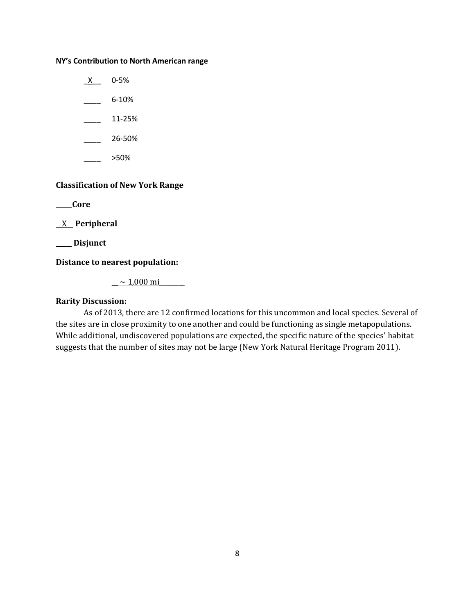#### **NY's Contribution to North American range**

 $X$  0-5%  $-$  6-10%  $\frac{11-25\%}{2}$ 

- $-26 50%$
- \_\_\_\_ >50%

## **Classification of New York Range**

**\_\_ \_\_ Core**

**\_\_**X\_\_ **Peripheral**

**\_\_\_\_\_ Disjunct**

**Distance to nearest population:**

 $\sim$  1,000 mi

## **Rarity Discussion:**

As of 2013, there are 12 confirmed locations for this uncommon and local species. Several of the sites are in close proximity to one another and could be functioning as single metapopulations. While additional, undiscovered populations are expected, the specific nature of the species' habitat suggests that the number of sites may not be large (New York Natural Heritage Program 2011).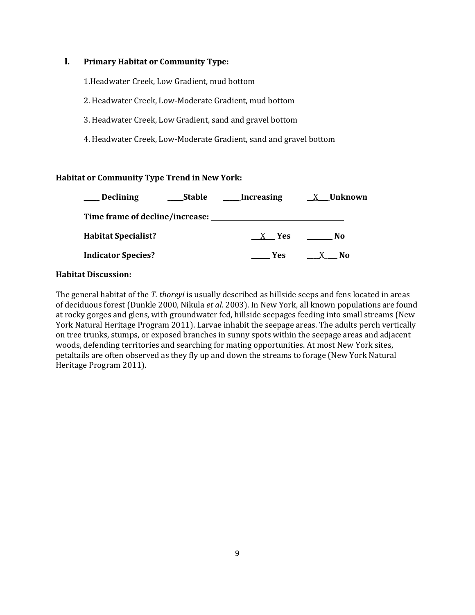## **I. Primary Habitat or Community Type:**

1.Headwater Creek, Low Gradient, mud bottom

2. Headwater Creek, Low-Moderate Gradient, mud bottom

3. Headwater Creek, Low Gradient, sand and gravel bottom

4. Headwater Creek, Low-Moderate Gradient, sand and gravel bottom

## **Habitat or Community Type Trend in New York:**

| <b>Declining</b>                | <b>Stable</b> | Increasing | X Unknown |
|---------------------------------|---------------|------------|-----------|
| Time frame of decline/increase: |               |            |           |
| <b>Habitat Specialist?</b>      |               | X Yes      | N0        |
| <b>Indicator Species?</b>       |               | <b>Yes</b> | No        |

## **Habitat Discussion:**

The general habitat of the *T. thoreyi* is usually described as hillside seeps and fens located in areas of deciduous forest (Dunkle 2000, Nikula *et al.* 2003). In New York, all known populations are found at rocky gorges and glens, with groundwater fed, hillside seepages feeding into small streams (New York Natural Heritage Program 2011). Larvae inhabit the seepage areas. The adults perch vertically on tree trunks, stumps, or exposed branches in sunny spots within the seepage areas and adjacent woods, defending territories and searching for mating opportunities. At most New York sites, petaltails are often observed as they fly up and down the streams to forage (New York Natural Heritage Program 2011).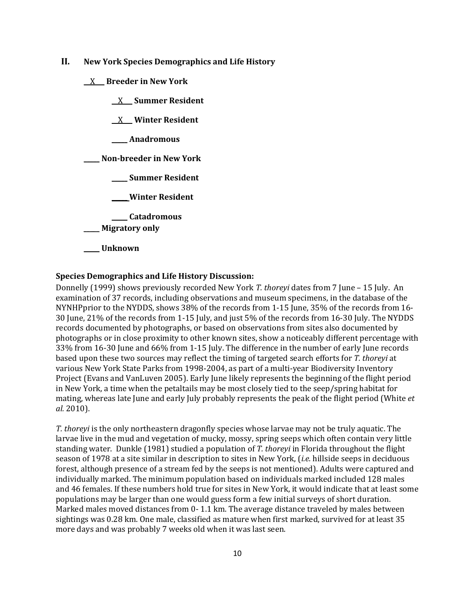- **II. New York Species Demographics and Life History**
	- **\_\_**X**\_\_\_ Breeder in New York**
		- **\_\_**X**\_\_\_ Summer Resident**

**\_\_**X**\_\_\_ Winter Resident**

**\_\_\_\_\_ Anadromous**

**\_\_\_\_\_ Non-breeder in New York**

**\_\_\_\_\_ Summer Resident**

**\_\_\_\_\_ Winter Resident**

**\_\_\_\_\_ Catadromous**

\_\_\_\_\_ **Migratory only**

**\_\_\_\_\_ Unknown**

#### **Species Demographics and Life History Discussion:**

Donnelly (1999) shows previously recorded New York *T. thoreyi* dates from 7 June – 15 July. An examination of 37 records, including observations and museum specimens, in the database of the NYNHPprior to the NYDDS, shows 38% of the records from 1-15 June, 35% of the records from 16- 30 June, 21% of the records from 1-15 July, and just 5% of the records from 16-30 July. The NYDDS records documented by photographs, or based on observations from sites also documented by photographs or in close proximity to other known sites, show a noticeably different percentage with 33% from 16-30 June and 66% from 1-15 July. The difference in the number of early June records based upon these two sources may reflect the timing of targeted search efforts for *T. thoreyi* at various New York State Parks from 1998-2004, as part of a multi-year Biodiversity Inventory Project (Evans and VanLuven 2005). Early June likely represents the beginning of the flight period in New York, a time when the petaltails may be most closely tied to the seep/spring habitat for mating, whereas late June and early July probably represents the peak of the flight period (White *et al.* 2010).

*T. thoreyi* is the only northeastern dragonfly species whose larvae may not be truly aquatic. The larvae live in the mud and vegetation of mucky, mossy, spring seeps which often contain very little standing water. Dunkle (1981) studied a population of *T. thoreyi* in Florida throughout the flight season of 1978 at a site similar in description to sites in New York, (*i.e.* hillside seeps in deciduous forest, although presence of a stream fed by the seeps is not mentioned). Adults were captured and individually marked. The minimum population based on individuals marked included 128 males and 46 females. If these numbers hold true for sites in New York, it would indicate that at least some populations may be larger than one would guess form a few initial surveys of short duration. Marked males moved distances from 0- 1.1 km. The average distance traveled by males between sightings was 0.28 km. One male, classified as mature when first marked, survived for at least 35 more days and was probably 7 weeks old when it was last seen.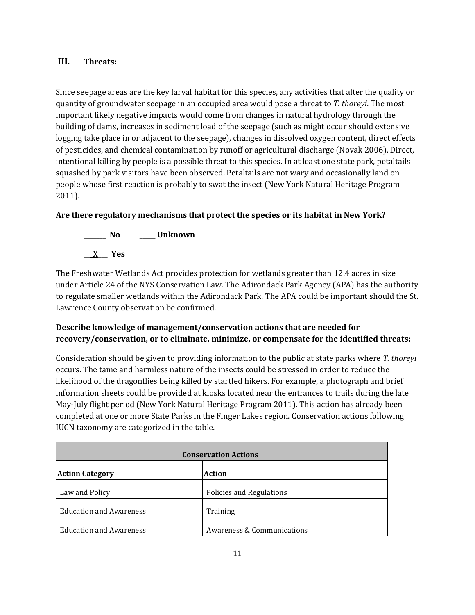## **III. Threats:**

Since seepage areas are the key larval habitat for this species, any activities that alter the quality or quantity of groundwater seepage in an occupied area would pose a threat to *T. thoreyi*. The most important likely negative impacts would come from changes in natural hydrology through the building of dams, increases in sediment load of the seepage (such as might occur should extensive logging take place in or adjacent to the seepage), changes in dissolved oxygen content, direct effects of pesticides, and chemical contamination by runoff or agricultural discharge (Novak 2006). Direct, intentional killing by people is a possible threat to this species. In at least one state park, petaltails squashed by park visitors have been observed. Petaltails are not wary and occasionally land on people whose first reaction is probably to swat the insect (New York Natural Heritage Program 2011).

## **Are there regulatory mechanisms that protect the species or its habitat in New York?**



The Freshwater Wetlands Act provides protection for wetlands greater than 12.4 acres in size under Article 24 of the NYS Conservation Law. The Adirondack Park Agency (APA) has the authority to regulate smaller wetlands within the Adirondack Park. The APA could be important should the St. Lawrence County observation be confirmed.

## **Describe knowledge of management/conservation actions that are needed for recovery/conservation, or to eliminate, minimize, or compensate for the identified threats:**

Consideration should be given to providing information to the public at state parks where *T. thoreyi* occurs. The tame and harmless nature of the insects could be stressed in order to reduce the likelihood of the dragonflies being killed by startled hikers. For example, a photograph and brief information sheets could be provided at kiosks located near the entrances to trails during the late May-July flight period (New York Natural Heritage Program 2011). This action has already been completed at one or more State Parks in the Finger Lakes region. Conservation actions following IUCN taxonomy are categorized in the table.

| <b>Conservation Actions</b>    |                            |  |
|--------------------------------|----------------------------|--|
| <b>Action Category</b>         | <b>Action</b>              |  |
| Law and Policy                 | Policies and Regulations   |  |
| <b>Education and Awareness</b> | Training                   |  |
| <b>Education and Awareness</b> | Awareness & Communications |  |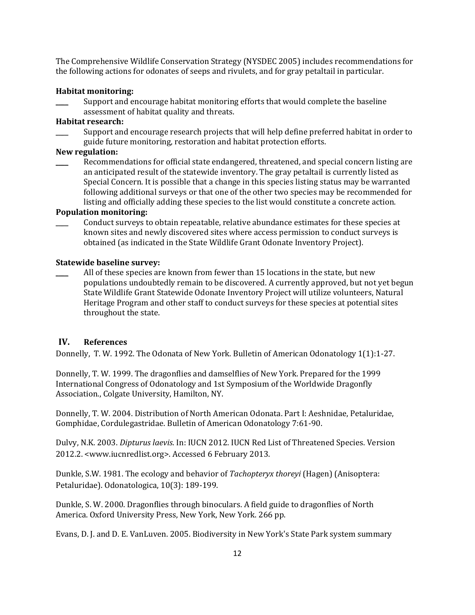The Comprehensive Wildlife Conservation Strategy (NYSDEC 2005) includes recommendations for the following actions for odonates of seeps and rivulets, and for gray petaltail in particular.

## **Habitat monitoring:**

Support and encourage habitat monitoring efforts that would complete the baseline assessment of habitat quality and threats.

### **Habitat research:**

Support and encourage research projects that will help define preferred habitat in order to guide future monitoring, restoration and habitat protection efforts.

## **New regulation:**

Recommendations for official state endangered, threatened, and special concern listing are an anticipated result of the statewide inventory. The gray petaltail is currently listed as Special Concern. It is possible that a change in this species listing status may be warranted following additional surveys or that one of the other two species may be recommended for listing and officially adding these species to the list would constitute a concrete action.

### **Population monitoring:**

\_\_\_\_ Conduct surveys to obtain repeatable, relative abundance estimates for these species at known sites and newly discovered sites where access permission to conduct surveys is obtained (as indicated in the State Wildlife Grant Odonate Inventory Project).

### **Statewide baseline survey:**

All of these species are known from fewer than 15 locations in the state, but new populations undoubtedly remain to be discovered. A currently approved, but not yet begun State Wildlife Grant Statewide Odonate Inventory Project will utilize volunteers, Natural Heritage Program and other staff to conduct surveys for these species at potential sites throughout the state.

## **IV. References**

Donnelly, T. W. 1992. The Odonata of New York. Bulletin of American Odonatology 1(1):1-27.

Donnelly, T. W. 1999. The dragonflies and damselflies of New York. Prepared for the 1999 International Congress of Odonatology and 1st Symposium of the Worldwide Dragonfly Association., Colgate University, Hamilton, NY.

Donnelly, T. W. 2004. Distribution of North American Odonata. Part I: Aeshnidae, Petaluridae, Gomphidae, Cordulegastridae. Bulletin of American Odonatology 7:61-90.

Dulvy, N.K. 2003. *Dipturus laevis*. In: IUCN 2012. IUCN Red List of Threatened Species. Version 2012.2. <www.iucnredlist.org>. Accessed 6 February 2013.

Dunkle, S.W. 1981. The ecology and behavior of *Tachopteryx thoreyi* (Hagen) (Anisoptera: Petaluridae). Odonatologica, 10(3): 189-199.

Dunkle, S. W. 2000. Dragonflies through binoculars. A field guide to dragonflies of North America. Oxford University Press, New York, New York. 266 pp.

Evans, D. J. and D. E. VanLuven. 2005. Biodiversity in New York's State Park system summary